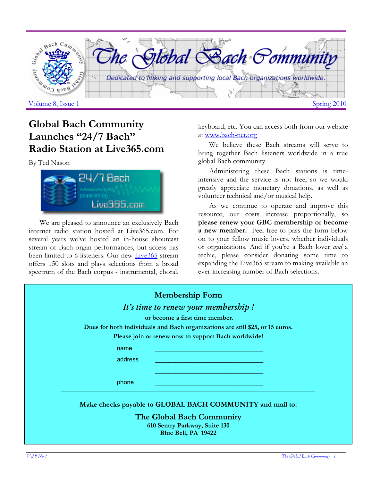

# **Global Bach Community Launches "24/7 Bach" Radio Station at Live365.com**

By Ted Nason



We are pleased to announce an exclusively Bach internet radio station hosted at Live365.com. For several years we've hosted an in-house shoutcast stream of Bach organ performances, but access has been limited to 6 listeners. Our new Live365 stream offers 150 slots and plays selections from a broad spectrum of the Bach corpus - instrumental, choral,

keyboard, etc. You can access both from our website at www.bach-net.org

We believe these Bach streams will serve to bring together Bach listeners worldwide in a true global Bach community.

Administering these Bach stations is timeintensive and the service is not free, so we would greatly appreciate monetary donations, as well as volunteer technical and/or musical help.

As we continue to operate and improve this resource, our costs increase proportionally, so **please renew your GBC membership or become a new member.** Feel free to pass the form below on to your fellow music lovers, whether individuals or organizations. And if you're a Bach lover *and* a techie, please consider donating some time to expanding the Live365 stream to making available an ever-increasing number of Bach selections.

| <b>Membership Form</b>                                                        |
|-------------------------------------------------------------------------------|
| It's time to renew your membership !                                          |
| or become a first time member.                                                |
| Dues for both individuals and Bach organizations are still \$25, or 15 euros. |
| Please join or renew now to support Bach worldwide!                           |
| name                                                                          |
| address                                                                       |
|                                                                               |
| phone                                                                         |
| Make checks payable to GLOBAL BACH COMMUNITY and mail to:                     |
| The Global Bach Community                                                     |
| 610 Sentry Parkway, Suite 130<br>Blue Bell, PA 19422                          |
|                                                                               |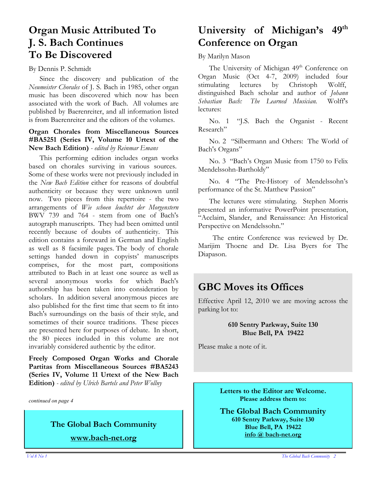# **Organ Music Attributed To J. S. Bach Continues To Be Discovered**

#### By Dennis P. Schmidt

Since the discovery and publication of the *Neumeister Chorales* of J. S. Bach in 1985, other organ music has been discovered which now has been associated with the work of Bach. All volumes are published by Baerenreiter, and all information listed is from Baerenreiter and the editors of the volumes.

#### **Organ Chorales from Miscellaneous Sources #BA5251 (Series IV, Volume 10 Urtext of the New Bach Edition)** *- edited by Reinmar Emans*

This performing edition includes organ works based on chorales surviving in various sources. Some of these works were not previously included in the *New Bach Edition* either for reasons of doubtful authenticity or because they were unknown until now. Two pieces from this repertoire - the two arrangements of *Wie schoen leuchtet der Morgenstern*  BWV 739 and 764 - stem from one of Bach's autograph manuscripts. They had been omitted until recently because of doubts of authenticity. This edition contains a foreward in German and English as well as 8 facsimile pages. The body of chorale settings handed down in copyists' manuscripts comprises, for the most part, compositions attributed to Bach in at least one source as well as several anonymous works for which Bach's authorship has been taken into consideration by scholars. In addition several anonymous pieces are also published for the first time that seem to fit into Bach's surroundings on the basis of their style, and sometimes of their source traditions. These pieces are presented here for purposes of debate. In short, the 80 pieces included in this volume are not invariably considered authentic by the editor.

**Freely Composed Organ Works and Chorale Partitas from Miscellaneous Sources #BA5243 (Series IV, Volume 11 Urtext of the New Bach Edition)** *- edited by Ulrich Bartels and Peter Wollny*

*continued on page 4* 

# **The Global Bach Community**

**www.bach-net.org**

# **University of Michigan's 49th Conference on Organ**

By Marilyn Mason

The University of Michigan 49<sup>th</sup> Conference on Organ Music (Oct 4-7, 2009) included four stimulating lectures by Christoph Wolff, distinguished Bach scholar and author of *Johann Sebastian Bach: The Learned Musician.* Wolff's lectures:

No. 1 "J.S. Bach the Organist - Recent Research"

No. 2 "Silbermann and Others: The World of Bach's Organs"

No. 3 "Bach's Organ Music from 1750 to Felix Mendelssohn-Bartholdy"

No. 4 "The Pre-History of Mendelssohn's performance of the St. Matthew Passion"

The lectures were stimulating. Stephen Morris presented an informative PowerPoint presentation, "Acclaim, Slander, and Renaissance: An Historical Perspective on Mendelssohn."

 The entire Conference was reviewed by Dr. Marijim Thoene and Dr. Lisa Byers for The Diapason.

### **GBC Moves its Offices**

Effective April 12, 2010 we are moving across the parking lot to:

#### **610 Sentry Parkway, Suite 130 Blue Bell, PA 19422**

Please make a note of it.

**Letters to the Editor are Welcome. Please address them to:** 

**The Global Bach Community 610 Sentry Parkway, Suite 130 Blue Bell, PA 19422 info @ bach-net.org**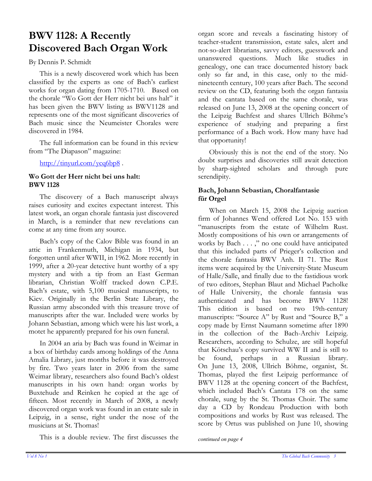# **BWV 1128: A Recently Discovered Bach Organ Work**

By Dennis P. Schmidt

This is a newly discovered work which has been classified by the experts as one of Bach's earliest works for organ dating from 1705-1710. Based on the chorale "Wo Gott der Herr nicht bei uns halt" it has been given the BWV listing as BWV1128 and represents one of the most significant discoveries of Bach music since the Neumeister Chorales were discovered in 1984.

The full information can be found in this review from "The Diapason" magazine:

http://tinyurl.com/ycq6bp8.

#### **Wo Gott der Herr nicht bei uns halt: BWV 1128**

The discovery of a Bach manuscript always raises curiosity and excites expectant interest. This latest work, an organ chorale fantasia just discovered in March, is a reminder that new revelations can come at any time from any source.

Bach's copy of the Calov Bible was found in an attic in Frankenmuth, Michigan in 1934, but forgotten until after WWII, in 1962. More recently in 1999, after a 20-year detective hunt worthy of a spy mystery and with a tip from an East German librarian, Christian Wolff tracked down C.P.E. Bach's estate, with 5,100 musical manuscripts, to Kiev. Originally in the Berlin State Library, the Russian army absconded with this treasure trove of manuscripts after the war. Included were works by Johann Sebastian, among which were his last work, a motet he apparently prepared for his own funeral.

In 2004 an aria by Bach was found in Weimar in a box of birthday cards among holdings of the Anna Amalia Library, just months before it was destroyed by fire. Two years later in 2006 from the same Weimar library, researchers also found Bach's oldest manuscripts in his own hand: organ works by Buxtehude and Reinken he copied at the age of fifteen. Most recently in March of 2008, a newly discovered organ work was found in an estate sale in Leipzig, in a sense, right under the nose of the musicians at St. Thomas!

This is a double review. The first discusses the *continued on page 4* 

organ score and reveals a fascinating history of teacher-student transmission, estate sales, alert and not-so-alert librarians, savvy editors, guesswork and unanswered questions. Much like studies in genealogy, one can trace documented history back only so far and, in this case, only to the midnineteenth century, 100 years after Bach. The second review on the CD, featuring both the organ fantasia and the cantata based on the same chorale, was released on June 13, 2008 at the opening concert of the Leipzig Bachfest and shares Ullrich Böhme's experience of studying and preparing a first performance of a Bach work. How many have had that opportunity!

Obviously this is not the end of the story. No doubt surprises and discoveries still await detection by sharp-sighted scholars and through pure serendipity.

#### **Bach, Johann Sebastian, Choralfantasie für Orgel**

When on March 15, 2008 the Leipzig auction firm of Johannes Wend offered Lot No. 153 with "manuscripts from the estate of Wilhelm Rust. Mostly compositions of his own or arrangements of works by Bach . . . ," no one could have anticipated that this included parts of Prieger's collection and the chorale fantasia BWV Anh. II 71. The Rust items were acquired by the University-State Museum of Halle/Salle, and finally due to the fastidious work of two editors, Stephan Blaut and Michael Pacholke of Halle University, the chorale fantasia was authenticated and has become BWV 1128! This edition is based on two 19th-century manuscripts: "Source A" by Rust and "Source B," a copy made by Ernst Naumann sometime after 1890 in the collection of the Bach-Archiv Leipzig. Researchers, according to Schulze, are still hopeful that Kötschau's copy survived WW II and is still to be found, perhaps in a Russian library. On June 13, 2008, Ullrich Böhme, organist, St. Thomas, played the first Leipzig performance of BWV 1128 at the opening concert of the Bachfest, which included Bach's Cantata 178 on the same chorale, sung by the St. Thomas Choir. The same day a CD by Rondeau Production with both compositions and works by Rust was released. The score by Ortus was published on June 10, showing